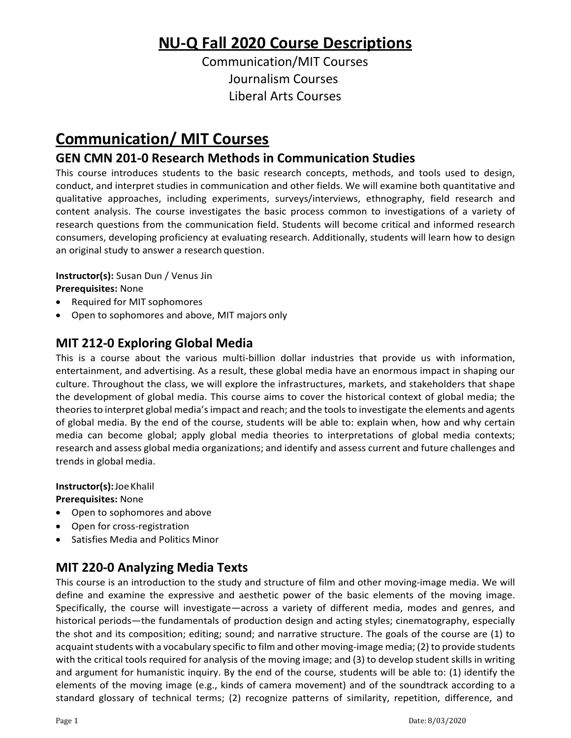# **NU‐Q Fall 2020 Course Descriptions**

Communication/MIT Courses Journalism Courses Liberal Arts Courses

# **Communication/ MIT Courses**

# **GEN CMN 201‐0 Research Methods in Communication Studies**

This course introduces students to the basic research concepts, methods, and tools used to design, conduct, and interpret studies in communication and other fields. We will examine both quantitative and qualitative approaches, including experiments, surveys/interviews, ethnography, field research and content analysis. The course investigates the basic process common to investigations of a variety of research questions from the communication field. Students will become critical and informed research consumers, developing proficiency at evaluating research. Additionally, students will learn how to design an original study to answer a research question.

**Instructor(s):** Susan Dun / Venus Jin **Prerequisites:** None

- Required for MIT sophomores
- Open to sophomores and above, MIT majors only

### **MIT 212‐0 Exploring Global Media**

This is a course about the various multi-billion dollar industries that provide us with information, entertainment, and advertising. As a result, these global media have an enormous impact in shaping our culture. Throughout the class, we will explore the infrastructures, markets, and stakeholders that shape the development of global media. This course aims to cover the historical context of global media; the theories to interpret global media's impact and reach; and the tools to investigate the elements and agents of global media. By the end of the course, students will be able to: explain when, how and why certain media can become global; apply global media theories to interpretations of global media contexts; research and assess global media organizations; and identify and assess current and future challenges and trends in global media.

### **Instructor(s):**JoeKhalil

**Prerequisites:** None

- Open to sophomores and above
- Open for cross-registration
- Satisfies Media and Politics Minor

### **MIT 220‐0 Analyzing Media Texts**

This course is an introduction to the study and structure of film and other moving-image media. We will define and examine the expressive and aesthetic power of the basic elements of the moving image. Specifically, the course will investigate—across a variety of different media, modes and genres, and historical periods—the fundamentals of production design and acting styles; cinematography, especially the shot and its composition; editing; sound; and narrative structure. The goals of the course are (1) to acquaint students with a vocabulary specific to film and other moving-image media; (2) to provide students with the critical tools required for analysis of the moving image; and (3) to develop student skills in writing and argument for humanistic inquiry. By the end of the course, students will be able to: (1) identify the elements of the moving image (e.g., kinds of camera movement) and of the soundtrack according to a standard glossary of technical terms; (2) recognize patterns of similarity, repetition, difference, and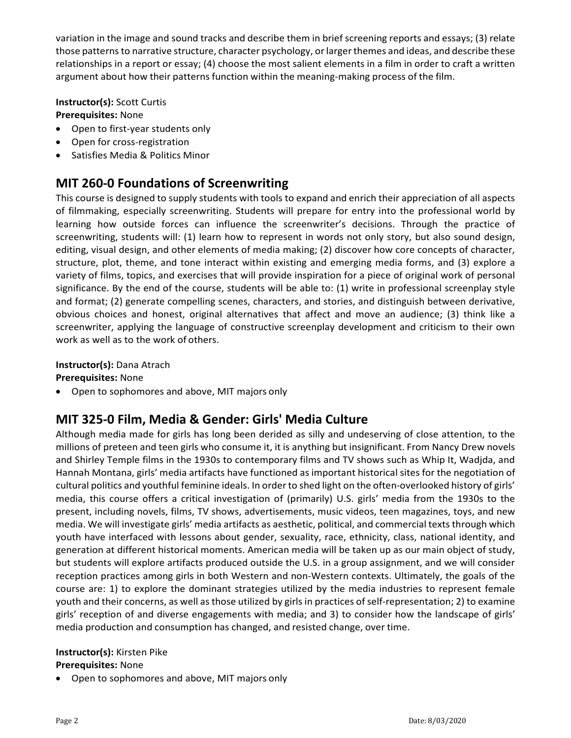variation in the image and sound tracks and describe them in brief screening reports and essays; (3) relate those patterns to narrative structure, character psychology, or larger themes and ideas, and describe these relationships in a report or essay; (4) choose the most salient elements in a film in order to craft a written argument about how their patterns function within the meaning-making process of the film.

**Instructor(s):** Scott Curtis

**Prerequisites:** None

- Open to first-year students only
- Open for cross-registration
- Satisfies Media & Politics Minor

# **MIT 260‐0 Foundations of Screenwriting**

This course is designed to supply students with tools to expand and enrich their appreciation of all aspects of filmmaking, especially screenwriting. Students will prepare for entry into the professional world by learning how outside forces can influence the screenwriter's decisions. Through the practice of screenwriting, students will: (1) learn how to represent in words not only story, but also sound design, editing, visual design, and other elements of media making; (2) discover how core concepts of character, structure, plot, theme, and tone interact within existing and emerging media forms, and (3) explore a variety of films, topics, and exercises that will provide inspiration for a piece of original work of personal significance. By the end of the course, students will be able to: (1) write in professional screenplay style and format; (2) generate compelling scenes, characters, and stories, and distinguish between derivative, obvious choices and honest, original alternatives that affect and move an audience; (3) think like a screenwriter, applying the language of constructive screenplay development and criticism to their own work as well as to the work of others.

**Instructor(s):** Dana Atrach

**Prerequisites:** None

• Open to sophomores and above, MIT majors only

# **MIT 325‐0 Film, Media & Gender: Girls' Media Culture**

Although media made for girls has long been derided as silly and undeserving of close attention, to the millions of preteen and teen girls who consume it, it is anything but insignificant. From Nancy Drew novels and Shirley Temple films in the 1930s to contemporary films and TV shows such as Whip It, Wadjda, and Hannah Montana, girls' media artifacts have functioned as important historical sites for the negotiation of cultural politics and youthful feminine ideals. In orderto shed light on the often‐overlooked history of girls' media, this course offers a critical investigation of (primarily) U.S. girls' media from the 1930s to the present, including novels, films, TV shows, advertisements, music videos, teen magazines, toys, and new media. We will investigate girls' media artifacts as aesthetic, political, and commercial texts through which youth have interfaced with lessons about gender, sexuality, race, ethnicity, class, national identity, and generation at different historical moments. American media will be taken up as our main object of study, but students will explore artifacts produced outside the U.S. in a group assignment, and we will consider reception practices among girls in both Western and non‐Western contexts. Ultimately, the goals of the course are: 1) to explore the dominant strategies utilized by the media industries to represent female youth and their concerns, as well as those utilized by girls in practices of self-representation; 2) to examine girls' reception of and diverse engagements with media; and 3) to consider how the landscape of girls' media production and consumption has changed, and resisted change, over time.

#### **Instructor(s):** Kirsten Pike **Prerequisites:** None

• Open to sophomores and above, MIT majors only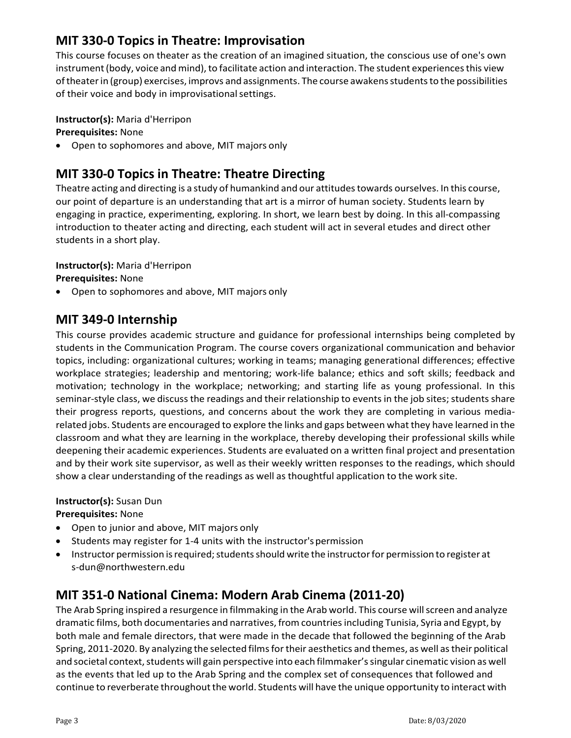### **MIT 330‐0 Topics in Theatre: Improvisation**

This course focuses on theater as the creation of an imagined situation, the conscious use of one's own instrument (body, voice and mind), to facilitate action and interaction. The student experiences this view oftheaterin (group) exercises, improvs and assignments. The course awakensstudentsto the possibilities of their voice and body in improvisational settings.

**Instructor(s):** Maria d'Herripon

**Prerequisites:** None

• Open to sophomores and above, MIT majors only

# **MIT 330‐0 Topics in Theatre: Theatre Directing**

Theatre acting and directing is a study of humankind and our attitudes towards ourselves. In this course, our point of departure is an understanding that art is a mirror of human society. Students learn by engaging in practice, experimenting, exploring. In short, we learn best by doing. In this all-compassing introduction to theater acting and directing, each student will act in several etudes and direct other students in a short play.

**Instructor(s):** Maria d'Herripon

**Prerequisites:** None

• Open to sophomores and above, MIT majors only

### **MIT 349‐0 Internship**

This course provides academic structure and guidance for professional internships being completed by students in the Communication Program. The course covers organizational communication and behavior topics, including: organizational cultures; working in teams; managing generational differences; effective workplace strategies; leadership and mentoring; work‐life balance; ethics and soft skills; feedback and motivation; technology in the workplace; networking; and starting life as young professional. In this seminar-style class, we discuss the readings and their relationship to events in the job sites; students share their progress reports, questions, and concerns about the work they are completing in various media‐ related jobs. Students are encouraged to explore the links and gaps between what they have learned in the classroom and what they are learning in the workplace, thereby developing their professional skills while deepening their academic experiences. Students are evaluated on a written final project and presentation and by their work site supervisor, as well as their weekly written responses to the readings, which should show a clear understanding of the readings as well as thoughtful application to the work site.

### **Instructor(s):** Susan Dun

**Prerequisites:** None

- Open to junior and above, MIT majors only
- Students may register for 1-4 units with the instructor's permission
- Instructor permission is required; students should write the instructor for permission to register at s[‐dun@northwestern.edu](mailto:dun@northwestern.edu)

### **MIT 351‐0 National Cinema: Modern Arab Cinema (2011‐20)**

The Arab Spring inspired a resurgence in filmmaking in the Arab world. This course willscreen and analyze dramatic films, both documentaries and narratives, from countriesincluding Tunisia, Syria and Egypt, by both male and female directors, that were made in the decade that followed the beginning of the Arab Spring, 2011-2020. By analyzing the selected films for their aesthetics and themes, as well as their political and societal context, students will gain perspective into each filmmaker's singular cinematic vision as well as the events that led up to the Arab Spring and the complex set of consequences that followed and continue to reverberate throughout the world. Students will have the unique opportunity to interact with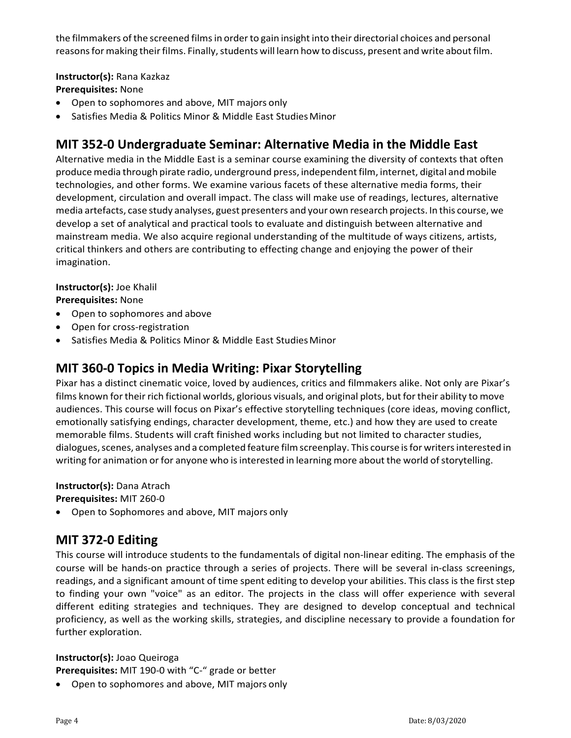the filmmakers of the screened films in order to gain insight into their directorial choices and personal reasons for making their films. Finally, students will learn how to discuss, present and write about film.

### **Instructor(s):** Rana Kazkaz

### **Prerequisites:** None

- Open to sophomores and above, MIT majors only
- Satisfies Media & Politics Minor & Middle East Studies Minor

### **MIT 352‐0 Undergraduate Seminar: Alternative Media in the Middle East**

Alternative media in the Middle East is a seminar course examining the diversity of contexts that often produce media through pirate radio, underground press, independent film, internet, digital and mobile technologies, and other forms. We examine various facets of these alternative media forms, their development, circulation and overall impact. The class will make use of readings, lectures, alternative media artefacts, case study analyses, guest presenters and your own research projects. In this course, we develop a set of analytical and practical tools to evaluate and distinguish between alternative and mainstream media. We also acquire regional understanding of the multitude of ways citizens, artists, critical thinkers and others are contributing to effecting change and enjoying the power of their imagination.

### **Instructor(s):** Joe Khalil

**Prerequisites:** None

- Open to sophomores and above
- Open for cross-registration
- Satisfies Media & Politics Minor & Middle East Studies Minor

### **MIT 360‐0 Topics in Media Writing: Pixar Storytelling**

Pixar has a distinct cinematic voice, loved by audiences, critics and filmmakers alike. Not only are Pixar's films known for their rich fictional worlds, glorious visuals, and original plots, but for their ability to move audiences. This course will focus on Pixar's effective storytelling techniques (core ideas, moving conflict, emotionally satisfying endings, character development, theme, etc.) and how they are used to create memorable films. Students will craft finished works including but not limited to character studies, dialogues, scenes, analyses and a completed feature film screenplay. This course is for writers interested in writing for animation or for anyone who is interested in learning more about the world of storytelling.

**Instructor(s):** Dana Atrach

**Prerequisites:** MIT 260‐0

• Open to Sophomores and above, MIT majors only

### **MIT 372‐0 Editing**

This course will introduce students to the fundamentals of digital non‐linear editing. The emphasis of the course will be hands‐on practice through a series of projects. There will be several in‐class screenings, readings, and a significant amount of time spent editing to develop your abilities. This class is the first step to finding your own "voice" as an editor. The projects in the class will offer experience with several different editing strategies and techniques. They are designed to develop conceptual and technical proficiency, as well as the working skills, strategies, and discipline necessary to provide a foundation for further exploration.

### **Instructor(s):** Joao Queiroga

**Prerequisites:** MIT 190‐0 with "C‐" grade or better

• Open to sophomores and above, MIT majors only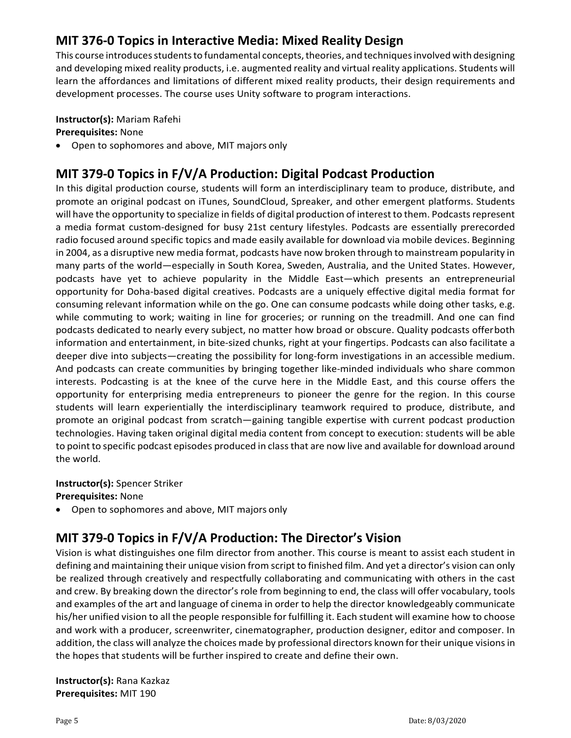## **MIT 376‐0 Topics in Interactive Media: Mixed Reality Design**

This course introduces students to fundamental concepts, theories, and techniques involved with designing and developing mixed reality products, i.e. augmented reality and virtual reality applications. Students will learn the affordances and limitations of different mixed reality products, their design requirements and development processes. The course uses Unity software to program interactions.

### **Instructor(s):** Mariam Rafehi

**Prerequisites:** None

• Open to sophomores and above, MIT majors only

# **MIT 379‐0 Topics in F/V/A Production: Digital Podcast Production**

In this digital production course, students will form an interdisciplinary team to produce, distribute, and promote an original podcast on iTunes, SoundCloud, Spreaker, and other emergent platforms. Students will have the opportunity to specialize in fields of digital production of interest to them. Podcasts represent a media format custom‐designed for busy 21st century lifestyles. Podcasts are essentially prerecorded radio focused around specific topics and made easily available for download via mobile devices. Beginning in 2004, as a disruptive new media format, podcasts have now broken through to mainstream popularity in many parts of the world—especially in South Korea, Sweden, Australia, and the United States. However, podcasts have yet to achieve popularity in the Middle East—which presents an entrepreneurial opportunity for Doha‐based digital creatives. Podcasts are a uniquely effective digital media format for consuming relevant information while on the go. One can consume podcasts while doing other tasks, e.g. while commuting to work; waiting in line for groceries; or running on the treadmill. And one can find podcasts dedicated to nearly every subject, no matter how broad or obscure. Quality podcasts offerboth information and entertainment, in bite‐sized chunks, right at your fingertips. Podcasts can also facilitate a deeper dive into subjects—creating the possibility for long-form investigations in an accessible medium. And podcasts can create communities by bringing together like‐minded individuals who share common interests. Podcasting is at the knee of the curve here in the Middle East, and this course offers the opportunity for enterprising media entrepreneurs to pioneer the genre for the region. In this course students will learn experientially the interdisciplinary teamwork required to produce, distribute, and promote an original podcast from scratch—gaining tangible expertise with current podcast production technologies. Having taken original digital media content from concept to execution: students will be able to point to specific podcast episodes produced in classthat are now live and available for download around the world.

### **Instructor(s):** Spencer Striker

**Prerequisites:** None

• Open to sophomores and above, MIT majors only

# **MIT 379‐0 Topics in F/V/A Production: The Director's Vision**

Vision is what distinguishes one film director from another. This course is meant to assist each student in defining and maintaining their unique vision from script to finished film. And yet a director's vision can only be realized through creatively and respectfully collaborating and communicating with others in the cast and crew. By breaking down the director's role from beginning to end, the class will offer vocabulary, tools and examples of the art and language of cinema in order to help the director knowledgeably communicate his/her unified vision to all the people responsible for fulfilling it. Each student will examine how to choose and work with a producer, screenwriter, cinematographer, production designer, editor and composer. In addition, the class will analyze the choices made by professional directors known for their unique visions in the hopes that students will be further inspired to create and define their own.

**Instructor(s):** Rana Kazkaz **Prerequisites:** MIT 190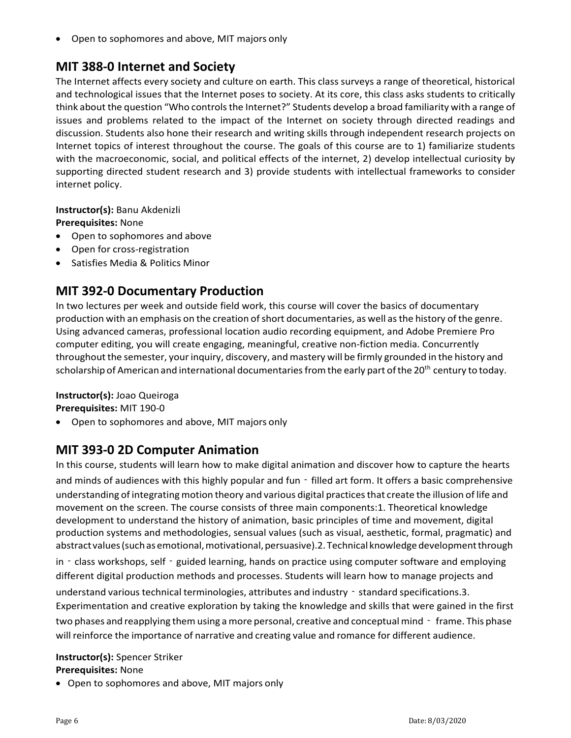• Open to sophomores and above, MIT majors only

### **MIT 388‐0 Internet and Society**

The Internet affects every society and culture on earth. This class surveys a range of theoretical, historical and technological issues that the Internet poses to society. At its core, this class asks students to critically think about the question "Who controls the Internet?" Students develop a broad familiarity with a range of issues and problems related to the impact of the Internet on society through directed readings and discussion. Students also hone their research and writing skills through independent research projects on Internet topics of interest throughout the course. The goals of this course are to 1) familiarize students with the macroeconomic, social, and political effects of the internet, 2) develop intellectual curiosity by supporting directed student research and 3) provide students with intellectual frameworks to consider internet policy.

**Instructor(s):** Banu Akdenizli

**Prerequisites:** None

- Open to sophomores and above
- Open for cross-registration
- Satisfies Media & Politics Minor

## **MIT 392‐0 Documentary Production**

In two lectures per week and outside field work, this course will cover the basics of documentary production with an emphasis on the creation of short documentaries, as well as the history of the genre. Using advanced cameras, professional location audio recording equipment, and Adobe Premiere Pro computer editing, you will create engaging, meaningful, creative non-fiction media. Concurrently throughout the semester, your inquiry, discovery, and mastery will be firmly grounded in the history and scholarship of American and international documentaries from the early part of the 20<sup>th</sup> century to today.

**Instructor(s):** Joao Queiroga

**Prerequisites:** MIT 190‐0

• Open to sophomores and above, MIT majors only

# **MIT 393‐0 2D Computer Animation**

In this course, students will learn how to make digital animation and discover how to capture the hearts and minds of audiences with this highly popular and fun - filled art form. It offers a basic comprehensive understanding of integrating motion theory and various digital practicesthat create the illusion of life and movement on the screen. The course consists of three main components:1. Theoretical knowledge development to understand the history of animation, basic principles of time and movement, digital production systems and methodologies, sensual values (such as visual, aesthetic, formal, pragmatic) and abstract values (such as emotional, motivational, persuasive).2. Technical knowledge development through

in - class workshops, self - guided learning, hands on practice using computer software and employing different digital production methods and processes. Students will learn how to manage projects and understand various technical terminologies, attributes and industry - standard specifications.3. Experimentation and creative exploration by taking the knowledge and skills that were gained in the first two phases and reapplying them using a more personal, creative and conceptual mind – frame. This phase will reinforce the importance of narrative and creating value and romance for different audience.

#### **Instructor(s):** Spencer Striker **Prerequisites:** None

• Open to sophomores and above, MIT majors only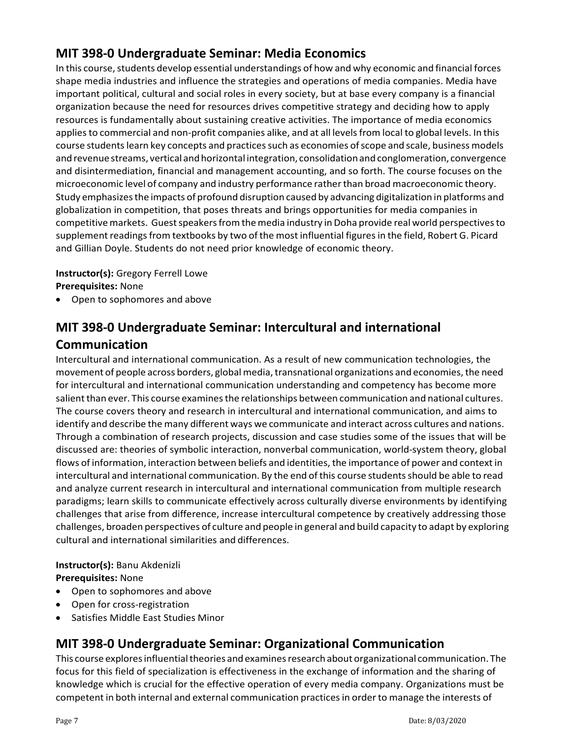## **MIT 398‐0 Undergraduate Seminar: Media Economics**

In this course, students develop essential understandings of how and why economic and financial forces shape media industries and influence the strategies and operations of media companies. Media have important political, cultural and social roles in every society, but at base every company is a financial organization because the need for resources drives competitive strategy and deciding how to apply resources is fundamentally about sustaining creative activities. The importance of media economics applies to commercial and non-profit companies alike, and at all levels from local to global levels. In this course students learn key concepts and practices such as economies of scope and scale, business models and revenue streams, vertical and horizontal integration, consolidation and conglomeration, convergence and disintermediation, financial and management accounting, and so forth. The course focuses on the microeconomic level of company and industry performance ratherthan broad macroeconomic theory. Study emphasizesthe impacts of profound disruption caused by advancing digitalization in platforms and globalization in competition, that poses threats and brings opportunities for media companies in competitive markets. Guest speakers from the media industry in Doha provide real world perspectives to supplement readings from textbooks by two of the most influential figures in the field, Robert G. Picard and Gillian Doyle. Students do not need prior knowledge of economic theory.

**Instructor(s):** Gregory Ferrell Lowe **Prerequisites:** None

• Open to sophomores and above

# **MIT 398‐0 Undergraduate Seminar: Intercultural and international Communication**

Intercultural and international communication. As a result of new communication technologies, the movement of people across borders, global media, transnational organizations and economies, the need for intercultural and international communication understanding and competency has become more salient than ever. This course examines the relationships between communication and national cultures. The course covers theory and research in intercultural and international communication, and aims to identify and describe the many different ways we communicate and interact across cultures and nations. Through a combination of research projects, discussion and case studies some of the issues that will be discussed are: theories of symbolic interaction, nonverbal communication, world‐system theory, global flows of information, interaction between beliefs and identities, the importance of power and contextin intercultural and international communication. By the end ofthis course studentsshould be able to read and analyze current research in intercultural and international communication from multiple research paradigms; learn skills to communicate effectively across culturally diverse environments by identifying challenges that arise from difference, increase intercultural competence by creatively addressing those challenges, broaden perspectives of culture and people in general and build capacity to adapt by exploring cultural and international similarities and differences.

### **Instructor(s):** Banu Akdenizli

**Prerequisites:** None

- Open to sophomores and above
- Open for cross‐registration
- Satisfies Middle East Studies Minor

### **MIT 398‐0 Undergraduate Seminar: Organizational Communication**

This course explores influential theories and examines research about organizational communication. The focus for this field of specialization is effectiveness in the exchange of information and the sharing of knowledge which is crucial for the effective operation of every media company. Organizations must be competent in both internal and external communication practicesin orderto manage the interests of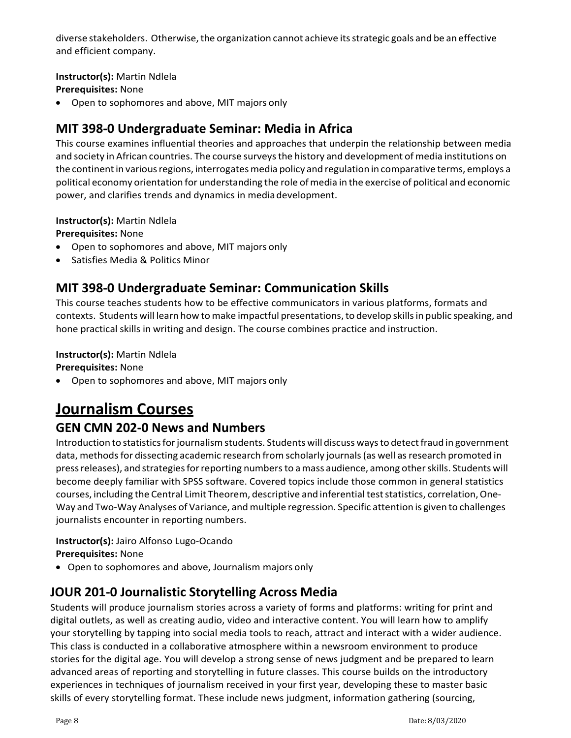diverse stakeholders. Otherwise, the organization cannot achieve its strategic goals and be an effective and efficient company.

### **Instructor(s):** Martin Ndlela

**Prerequisites:** None

• Open to sophomores and above, MIT majors only

# **MIT 398‐0 Undergraduate Seminar: Media in Africa**

This course examines influential theories and approaches that underpin the relationship between media and society in African countries. The course surveysthe history and development of media institutions on the continent in various regions, interrogates media policy and regulation in comparative terms, employs a political economy orientation for understanding the role of media in the exercise of political and economic power, and clarifies trends and dynamics in media development.

### **Instructor(s):** Martin Ndlela

**Prerequisites:** None

- Open to sophomores and above, MIT majors only
- Satisfies Media & Politics Minor

### **MIT 398‐0 Undergraduate Seminar: Communication Skills**

This course teaches students how to be effective communicators in various platforms, formats and contexts. Students will learn how to make impactful presentations, to develop skills in public speaking, and hone practical skills in writing and design. The course combines practice and instruction.

### **Instructor(s):** Martin Ndlela

**Prerequisites:** None

• Open to sophomores and above, MIT majors only

# **Journalism Courses**

### **GEN CMN 202‐0 News and Numbers**

Introduction to statistics for journalism students. Students will discuss ways to detect fraud in government data, methods for dissecting academic research from scholarly journals (as well as research promoted in pressreleases), and strategiesforreporting numbersto amass audience, among otherskills. Students will become deeply familiar with SPSS software. Covered topics include those common in general statistics courses, including the Central Limit Theorem, descriptive and inferential teststatistics, correlation,One‐ Way and Two‐Way Analyses of Variance, and multiple regression. Specific attention is given to challenges journalists encounter in reporting numbers.

# **Instructor(s):** Jairo Alfonso Lugo‐Ocando

**Prerequisites:** None

• Open to sophomores and above, Journalism majors only

### **JOUR 201‐0 Journalistic Storytelling Across Media**

Students will produce journalism stories across a variety of forms and platforms: writing for print and digital outlets, as well as creating audio, video and interactive content. You will learn how to amplify your storytelling by tapping into social media tools to reach, attract and interact with a wider audience. This class is conducted in a collaborative atmosphere within a newsroom environment to produce stories for the digital age. You will develop a strong sense of news judgment and be prepared to learn advanced areas of reporting and storytelling in future classes. This course builds on the introductory experiences in techniques of journalism received in your first year, developing these to master basic skills of every storytelling format. These include news judgment, information gathering (sourcing,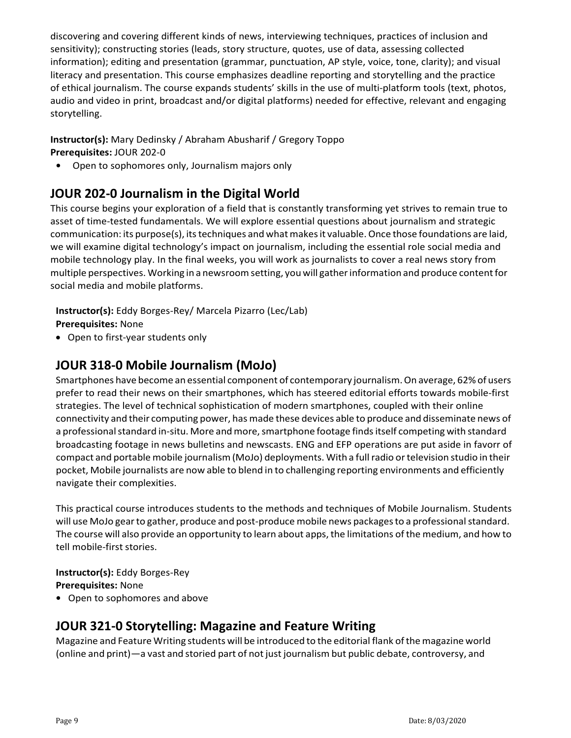discovering and covering different kinds of news, interviewing techniques, practices of inclusion and sensitivity); constructing stories (leads, story structure, quotes, use of data, assessing collected information); editing and presentation (grammar, punctuation, AP style, voice, tone, clarity); and visual literacy and presentation. This course emphasizes deadline reporting and storytelling and the practice of ethical journalism. The course expands students' skills in the use of multi‐platform tools (text, photos, audio and video in print, broadcast and/or digital platforms) needed for effective, relevant and engaging storytelling.

### **Instructor(s):** Mary Dedinsky / Abraham Abusharif / Gregory Toppo **Prerequisites:** JOUR 202‐0

**•** Open to sophomores only, Journalism majors only

## **JOUR 202‐0 Journalism in the Digital World**

This course begins your exploration of a field that is constantly transforming yet strives to remain true to asset of time‐tested fundamentals. We will explore essential questions about journalism and strategic communication: its purpose(s), its techniques and what makes it valuable. Once those foundations are laid, we will examine digital technology's impact on journalism, including the essential role social media and mobile technology play. In the final weeks, you will work as journalists to cover a real news story from multiple perspectives. Working in a newsroomsetting, youwill gatherinformation and produce contentfor social media and mobile platforms.

**Instructor(s):** Eddy Borges‐Rey/ Marcela Pizarro (Lec/Lab) **Prerequisites:** None

• Open to first-year students only

### **JOUR 318‐0 Mobile Journalism (MoJo)**

Smartphones have become an essential component of contemporary journalism. On average, 62% of users prefer to read their news on their smartphones, which has steered editorial efforts towards mobile‐first strategies. The level of technical sophistication of modern smartphones, coupled with their online connectivity and their computing power, has made these devices able to produce and disseminate news of a professional standard in-situ. More and more, smartphone footage finds itself competing with standard broadcasting footage in news bulletins and newscasts. ENG and EFP operations are put aside in favorr of compact and portable mobile journalism(MoJo) deployments. With a fullradio ortelevision studio in their pocket, Mobile journalists are now able to blend in to challenging reporting environments and efficiently navigate their complexities.

This practical course introduces students to the methods and techniques of Mobile Journalism. Students will use MoJo gear to gather, produce and post-produce mobile news packages to a professional standard. The course will also provide an opportunity to learn about apps, the limitations ofthe medium, and how to tell mobile‐first stories.

**Instructor(s):** Eddy Borges‐Rey **Prerequisites:** None

**•** Open to sophomores and above

### **JOUR 321‐0 Storytelling: Magazine and Feature Writing**

Magazine and Feature Writing students will be introduced to the editorial flank ofthe magazine world (online and print)—a vast and storied part of not just journalism but public debate, controversy, and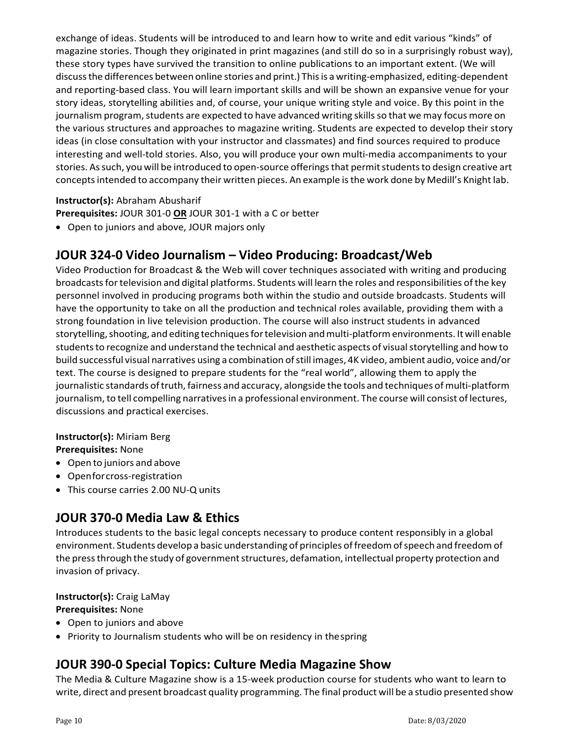exchange of ideas. Students will be introduced to and learn how to write and edit various "kinds" of magazine stories. Though they originated in print magazines (and still do so in a surprisingly robust way), these story types have survived the transition to online publications to an important extent. (We will discuss the differences between online stories and print.) This is a writing-emphasized, editing-dependent and reporting‐based class. You will learn important skills and will be shown an expansive venue for your story ideas, storytelling abilities and, of course, your unique writing style and voice. By this point in the journalism program, students are expected to have advanced writing skills so that we may focus more on the various structures and approaches to magazine writing. Students are expected to develop their story ideas (in close consultation with your instructor and classmates) and find sources required to produce interesting and well-told stories. Also, you will produce your own multi-media accompaniments to your stories. As such, you will be introduced to open-source offerings that permit students to design creative art concepts intended to accompany their written pieces. An example is the work done by Medill's Knight lab.

### **Instructor(s):** Abraham Abusharif

**Prerequisites:** JOUR 301‐0 **OR** JOUR 301‐1 with a C or better

• Open to juniors and above, JOUR majors only

### **JOUR 324‐0 Video Journalism – Video Producing: Broadcast/Web**

Video Production for Broadcast & the Web will cover techniques associated with writing and producing broadcastsfortelevision and digital platforms. Students will learn the roles and responsibilities ofthe key personnel involved in producing programs both within the studio and outside broadcasts. Students will have the opportunity to take on all the production and technical roles available, providing them with a strong foundation in live television production. The course will also instruct students in advanced storytelling, shooting, and editing techniques for television and multi-platform environments. It will enable students to recognize and understand the technical and aesthetic aspects of visual storytelling and how to build successful visual narratives using a combination ofstill images, 4K video, ambient audio, voice and/or text. The course is designed to prepare students for the "real world", allowing them to apply the journalistic standards of truth, fairness and accuracy, alongside the tools and techniques of multi-platform journalism, to tell compelling narratives in a professional environment. The course will consist of lectures, discussions and practical exercises.

### **Instructor(s):** Miriam Berg

**Prerequisites:** None

- Open to juniors and above
- Openforcross‐registration
- This course carries 2.00 NU‐Q units

### **JOUR 370‐0 Media Law & Ethics**

Introduces students to the basic legal concepts necessary to produce content responsibly in a global environment. Students develop a basic understanding of principles offreedomofspeech and freedom of the press through the study of government structures, defamation, intellectual property protection and invasion of privacy.

### **Instructor(s):** Craig LaMay

### **Prerequisites:** None

- Open to juniors and above
- Priority to Journalism students who will be on residency in thespring

### **JOUR 390‐0 Special Topics: Culture Media Magazine Show**

The Media & Culture Magazine show is a 15‐week production course for students who want to learn to write, direct and present broadcast quality programming. The final product will be a studio presented show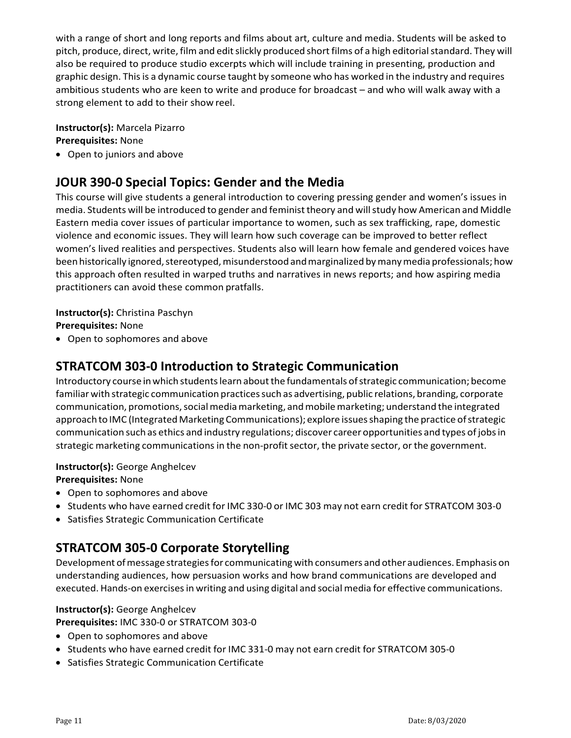with a range of short and long reports and films about art, culture and media. Students will be asked to pitch, produce, direct, write, film and edit slickly produced short films of a high editorial standard. They will also be required to produce studio excerpts which will include training in presenting, production and graphic design. Thisis a dynamic course taught by someone who has worked in the industry and requires ambitious students who are keen to write and produce for broadcast – and who will walk away with a strong element to add to their show reel.

#### **Instructor(s):** Marcela Pizarro **Prerequisites:** None

• Open to juniors and above

### **JOUR 390‐0 Special Topics: Gender and the Media**

This course will give students a general introduction to covering pressing gender and women's issues in media. Students will be introduced to gender and feminist theory and will study how American and Middle Eastern media cover issues of particular importance to women, such as sex trafficking, rape, domestic violence and economic issues. They will learn how such coverage can be improved to better reflect women's lived realities and perspectives. Students also will learn how female and gendered voices have been historically ignored, stereotyped, misunderstood and marginalized by many media professionals; how this approach often resulted in warped truths and narratives in news reports; and how aspiring media practitioners can avoid these common pratfalls.

### **Instructor(s):** Christina Paschyn **Prerequisites:** None

• Open to sophomores and above

### **STRATCOM 303‐0 Introduction to Strategic Communication**

Introductory course in which students learn about the fundamentals of strategic communication; become familiar with strategic communication practices such as advertising, public relations, branding, corporate communication, promotions, social media marketing, and mobile marketing; understand the integrated approach to IMC (Integrated Marketing Communications); explore issues shaping the practice of strategic communication such as ethics and industry regulations; discover career opportunities and types of jobsin strategic marketing communications in the non-profit sector, the private sector, or the government.

### **Instructor(s):** George Anghelcev

**Prerequisites:** None

- Open to sophomores and above
- Students who have earned credit for IMC 330‐0 or IMC 303 may not earn credit for STRATCOM 303‐0
- Satisfies Strategic Communication Certificate

### **STRATCOM 305‐0 Corporate Storytelling**

Development ofmessage strategiesfor communicating with consumers and other audiences. Emphasis on understanding audiences, how persuasion works and how brand communications are developed and executed. Hands-on exercises in writing and using digital and social media for effective communications.

### **Instructor(s):** George Anghelcev

**Prerequisites:** IMC 330‐0 or STRATCOM 303‐0

- Open to sophomores and above
- Students who have earned credit for IMC 331-0 may not earn credit for STRATCOM 305-0
- Satisfies Strategic Communication Certificate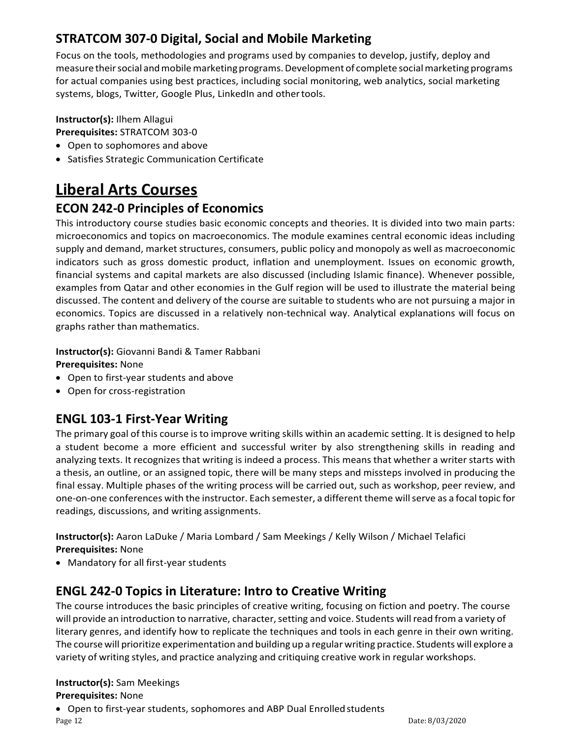# **STRATCOM 307‐0 Digital, Social and Mobile Marketing**

Focus on the tools, methodologies and programs used by companies to develop, justify, deploy and measure their social and mobile marketing programs. Development of complete social marketing programs for actual companies using best practices, including social monitoring, web analytics, social marketing systems, blogs, Twitter, Google Plus, LinkedIn and other tools.

### **Instructor(s):** Ilhem Allagui

**Prerequisites:** STRATCOM 303‐0

- Open to sophomores and above
- Satisfies Strategic Communication Certificate

# **Liberal Arts Courses**

### **ECON 242‐0 Principles of Economics**

This introductory course studies basic economic concepts and theories. It is divided into two main parts: microeconomics and topics on macroeconomics. The module examines central economic ideas including supply and demand, market structures, consumers, public policy and monopoly as well as macroeconomic indicators such as gross domestic product, inflation and unemployment. Issues on economic growth, financial systems and capital markets are also discussed (including Islamic finance). Whenever possible, examples from Qatar and other economies in the Gulf region will be used to illustrate the material being discussed. The content and delivery of the course are suitable to students who are not pursuing a major in economics. Topics are discussed in a relatively non-technical way. Analytical explanations will focus on graphs rather than mathematics.

**Instructor(s):** Giovanni Bandi & Tamer Rabbani **Prerequisites:** None

- Open to first-year students and above
- Open for cross‐registration

### **ENGL 103‐1 First‐Year Writing**

The primary goal of this course is to improve writing skills within an academic setting. It is designed to help a student become a more efficient and successful writer by also strengthening skills in reading and analyzing texts. It recognizes that writing is indeed a process. This means that whether a writer starts with a thesis, an outline, or an assigned topic, there will be many steps and missteps involved in producing the final essay. Multiple phases of the writing process will be carried out, such as workshop, peer review, and one‐on‐one conferences with the instructor. Each semester, a different theme willserve as a focal topic for readings, discussions, and writing assignments.

**Instructor(s):** Aaron LaDuke / Maria Lombard / Sam Meekings / Kelly Wilson / Michael Telafici **Prerequisites:** None

• Mandatory for all first-year students

### **ENGL 242‐0 Topics in Literature: Intro to Creative Writing**

The course introduces the basic principles of creative writing, focusing on fiction and poetry. The course will provide an introduction to narrative, character, setting and voice. Students will read from a variety of literary genres, and identify how to replicate the techniques and tools in each genre in their own writing. The course will prioritize experimentation and building up a regularwriting practice. Students will explore a variety of writing styles, and practice analyzing and critiquing creative work in regular workshops.

#### **Instructor(s):** Sam Meekings **Prerequisites:** None

• Open to first-year students, sophomores and ABP Dual Enrolled students

Page 12 Date: 8/03/2020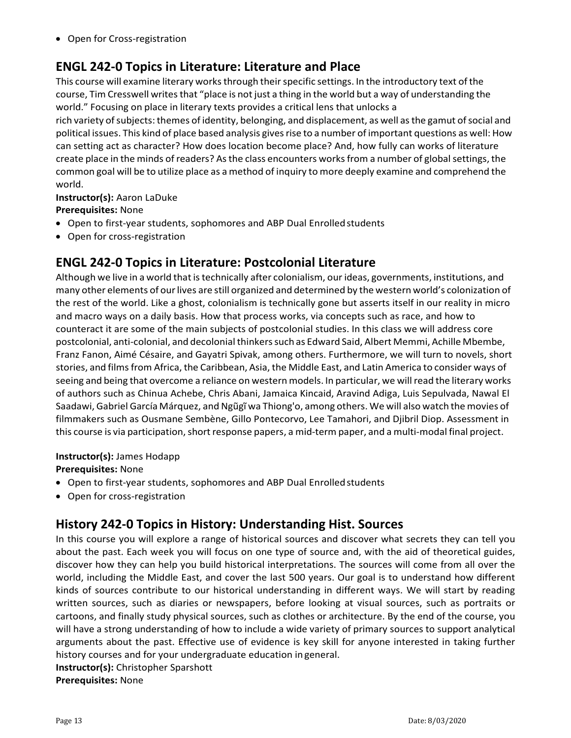• Open for Cross‐registration

## **ENGL 242‐0 Topics in Literature: Literature and Place**

This course will examine literary works through their specific settings. In the introductory text of the course, Tim Cresswell writes that "place is not just a thing in the world but a way of understanding the world." Focusing on place in literary texts provides a critical lens that unlocks a

rich variety of subjects: themes of identity, belonging, and displacement, as well as the gamut of social and political issues. This kind of place based analysis givesrise to a number of important questions as well: How can setting act as character? How does location become place? And, how fully can works of literature create place in the minds of readers? As the class encounters works from a number of global settings, the common goal will be to utilize place as a method of inquiry to more deeply examine and comprehend the world.

**Instructor(s):** Aaron LaDuke **Prerequisites:** None

- Open to first-year students, sophomores and ABP Dual Enrolledstudents
- Open for cross‐registration

### **ENGL 242‐0 Topics in Literature: Postcolonial Literature**

Although we live in a world that is technically after colonialism, our ideas, governments, institutions, and many other elements of ourlives are still organized and determined by the western world's colonization of the rest of the world. Like a ghost, colonialism is technically gone but asserts itself in our reality in micro and macro ways on a daily basis. How that process works, via concepts such as race, and how to counteract it are some of the main subjects of postcolonial studies. In this class we will address core postcolonial, anti-colonial, and decolonial thinkers such as Edward Said, Albert Memmi, Achille Mbembe, Franz Fanon, Aimé Césaire, and Gayatri Spivak, among others. Furthermore, we will turn to novels, short stories, and films from Africa, the Caribbean, Asia, the Middle East, and Latin America to consider ways of seeing and being that overcome a reliance on western models. In particular, we willread the literary works of authors such as Chinua Achebe, Chris Abani, Jamaica Kincaid, Aravind Adiga, Luis Sepulvada, Nawal El Saadawi, Gabriel García Márquez, and Ngũgĩ wa Thiong'o, among others. We will also watch the movies of filmmakers such as Ousmane Sembène, Gillo Pontecorvo, Lee Tamahori, and Djibril Diop. Assessment in this course is via participation, short response papers, a mid-term paper, and a multi-modal final project.

### **Instructor(s):** James Hodapp

**Prerequisites:** None

- Open to first-year students, sophomores and ABP Dual Enrolledstudents
- Open for cross‐registration

### **History 242‐0 Topics in History: Understanding Hist. Sources**

In this course you will explore a range of historical sources and discover what secrets they can tell you about the past. Each week you will focus on one type of source and, with the aid of theoretical guides, discover how they can help you build historical interpretations. The sources will come from all over the world, including the Middle East, and cover the last 500 years. Our goal is to understand how different kinds of sources contribute to our historical understanding in different ways. We will start by reading written sources, such as diaries or newspapers, before looking at visual sources, such as portraits or cartoons, and finally study physical sources, such as clothes or architecture. By the end of the course, you will have a strong understanding of how to include a wide variety of primary sources to support analytical arguments about the past. Effective use of evidence is key skill for anyone interested in taking further history courses and for your undergraduate education ingeneral.

**Instructor(s):** Christopher Sparshott **Prerequisites:** None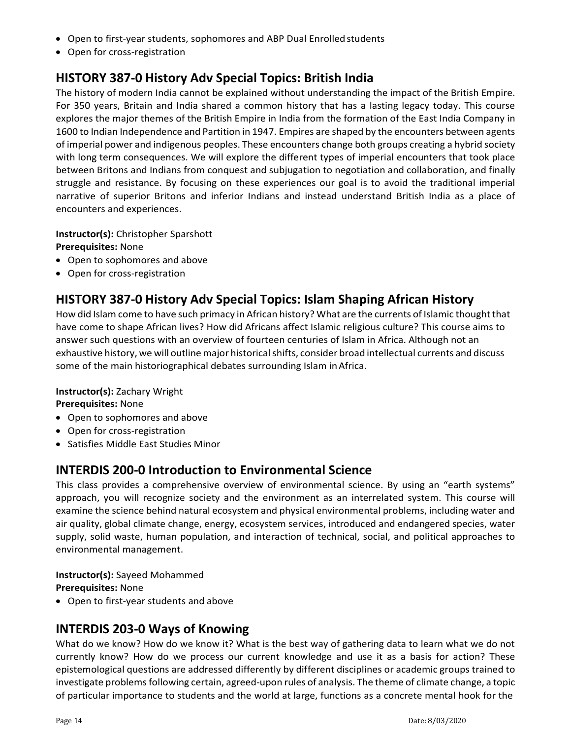- Open to first-year students, sophomores and ABP Dual Enrolledstudents
- Open for cross‐registration

### **HISTORY 387‐0 History Adv Special Topics: British India**

The history of modern India cannot be explained without understanding the impact of the British Empire. For 350 years, Britain and India shared a common history that has a lasting legacy today. This course explores the major themes of the British Empire in India from the formation of the East India Company in 1600 to Indian Independence and Partition in 1947. Empires are shaped by the encounters between agents of imperial power and indigenous peoples. These encounters change both groups creating a hybrid society with long term consequences. We will explore the different types of imperial encounters that took place between Britons and Indians from conquest and subjugation to negotiation and collaboration, and finally struggle and resistance. By focusing on these experiences our goal is to avoid the traditional imperial narrative of superior Britons and inferior Indians and instead understand British India as a place of encounters and experiences.

**Instructor(s):** Christopher Sparshott

**Prerequisites:** None

- Open to sophomores and above
- Open for cross‐registration

## **HISTORY 387‐0 History Adv Special Topics: Islam Shaping African History**

How did Islam come to have such primacy in African history? What are the currents of Islamic thought that have come to shape African lives? How did Africans affect Islamic religious culture? This course aims to answer such questions with an overview of fourteen centuries of Islam in Africa. Although not an exhaustive history, we will outline major historical shifts, consider broad intellectual currents and discuss some of the main historiographical debates surrounding Islam in Africa.

### **Instructor(s):** Zachary Wright

**Prerequisites:** None

- Open to sophomores and above
- Open for cross‐registration
- Satisfies Middle East Studies Minor

### **INTERDIS 200‐0 Introduction to Environmental Science**

This class provides a comprehensive overview of environmental science. By using an "earth systems" approach, you will recognize society and the environment as an interrelated system. This course will examine the science behind natural ecosystem and physical environmental problems, including water and air quality, global climate change, energy, ecosystem services, introduced and endangered species, water supply, solid waste, human population, and interaction of technical, social, and political approaches to environmental management.

**Instructor(s):** Sayeed Mohammed

**Prerequisites:** None

• Open to first-year students and above

### **INTERDIS 203‐0 Ways of Knowing**

What do we know? How do we know it? What is the best way of gathering data to learn what we do not currently know? How do we process our current knowledge and use it as a basis for action? These epistemological questions are addressed differently by different disciplines or academic groups trained to investigate problems following certain, agreed-upon rules of analysis. The theme of climate change, a topic of particular importance to students and the world at large, functions as a concrete mental hook for the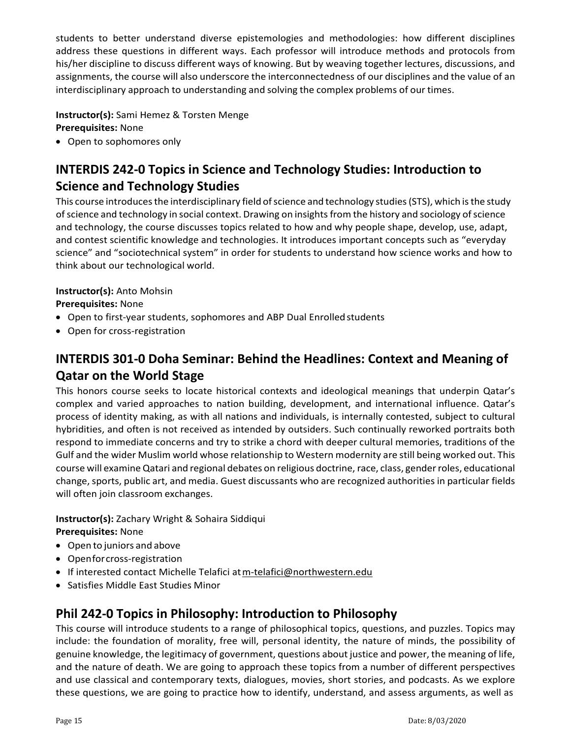students to better understand diverse epistemologies and methodologies: how different disciplines address these questions in different ways. Each professor will introduce methods and protocols from his/her discipline to discuss different ways of knowing. But by weaving together lectures, discussions, and assignments, the course will also underscore the interconnectedness of our disciplines and the value of an interdisciplinary approach to understanding and solving the complex problems of our times.

**Instructor(s):** Sami Hemez & Torsten Menge **Prerequisites:** None

• Open to sophomores only

# **INTERDIS 242‐0 Topics in Science and Technology Studies: Introduction to Science and Technology Studies**

This course introduces the interdisciplinary field of science and technology studies (STS), which is the study of science and technology in social context. Drawing on insights from the history and sociology of science and technology, the course discusses topics related to how and why people shape, develop, use, adapt, and contest scientific knowledge and technologies. It introduces important concepts such as "everyday science" and "sociotechnical system" in order for students to understand how science works and how to think about our technological world.

### **Instructor(s):** Anto Mohsin

**Prerequisites:** None

- Open to first-year students, sophomores and ABP Dual Enrolled students
- Open for cross‐registration

# **INTERDIS 301‐0 Doha Seminar: Behind the Headlines: Context and Meaning of Qatar on the World Stage**

This honors course seeks to locate historical contexts and ideological meanings that underpin Qatar's complex and varied approaches to nation building, development, and international influence. Qatar's process of identity making, as with all nations and individuals, is internally contested, subject to cultural hybridities, and often is not received as intended by outsiders. Such continually reworked portraits both respond to immediate concerns and try to strike a chord with deeper cultural memories, traditions of the Gulf and the wider Muslim world whose relationship to Western modernity are still being worked out. This course will examine Qatari and regional debates on religious doctrine, race, class, genderroles, educational change, sports, public art, and media. Guest discussants who are recognized authorities in particular fields will often join classroom exchanges.

**Instructor(s):** Zachary Wright & Sohaira Siddiqui **Prerequisites:** None

- Open to juniors and above
- Openforcross‐registration
- If interested contact Michelle Telafici atm[‐telafici@northwestern.edu](mailto:telafici@northwestern.edu)
- Satisfies Middle East Studies Minor

### **Phil 242‐0 Topics in Philosophy: Introduction to Philosophy**

This course will introduce students to a range of philosophical topics, questions, and puzzles. Topics may include: the foundation of morality, free will, personal identity, the nature of minds, the possibility of genuine knowledge, the legitimacy of government, questions about justice and power, the meaning of life, and the nature of death. We are going to approach these topics from a number of different perspectives and use classical and contemporary texts, dialogues, movies, short stories, and podcasts. As we explore these questions, we are going to practice how to identify, understand, and assess arguments, as well as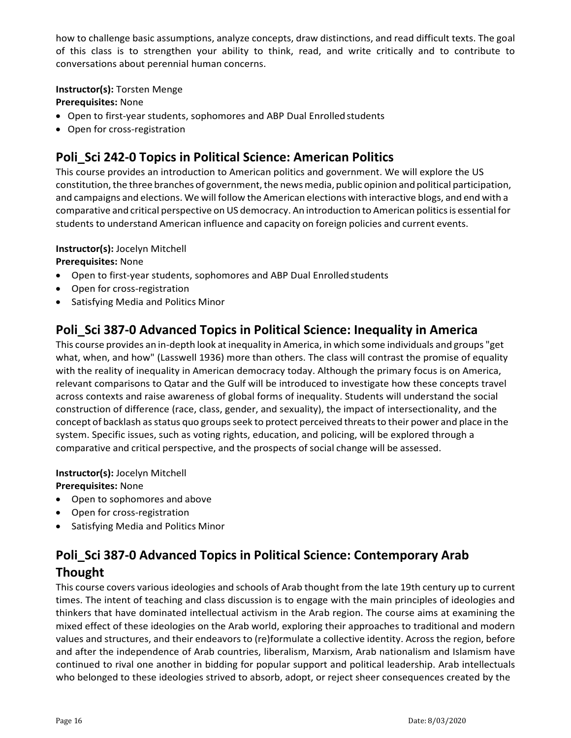how to challenge basic assumptions, analyze concepts, draw distinctions, and read difficult texts. The goal of this class is to strengthen your ability to think, read, and write critically and to contribute to conversations about perennial human concerns.

### **Instructor(s):** Torsten Menge

### **Prerequisites:** None

- Open to first-year students, sophomores and ABP Dual Enrolledstudents
- Open for cross‐registration

# **Poli\_Sci 242‐0 Topics in Political Science: American Politics**

This course provides an introduction to American politics and government. We will explore the US constitution, the three branches of government, the news media, public opinion and political participation, and campaigns and elections. We will follow the American elections with interactive blogs, and end with a comparative and critical perspective on US democracy. An introduction to American politics is essential for students to understand American influence and capacity on foreign policies and current events.

### **Instructor(s):** Jocelyn Mitchell

**Prerequisites:** None

- Open to first-year students, sophomores and ABP Dual Enrolled students
- Open for cross-registration
- Satisfying Media and Politics Minor

### **Poli\_Sci 387‐0 Advanced Topics in Political Science: Inequality in America**

This course provides an in‐depth look at inequality in America, in which some individuals and groups "get what, when, and how" (Lasswell 1936) more than others. The class will contrast the promise of equality with the reality of inequality in American democracy today. Although the primary focus is on America, relevant comparisons to Qatar and the Gulf will be introduced to investigate how these concepts travel across contexts and raise awareness of global forms of inequality. Students will understand the social construction of difference (race, class, gender, and sexuality), the impact of intersectionality, and the concept of backlash as status quo groups seek to protect perceived threats to their power and place in the system. Specific issues, such as voting rights, education, and policing, will be explored through a comparative and critical perspective, and the prospects of social change will be assessed.

**Instructor(s):** Jocelyn Mitchell **Prerequisites:** None

- Open to sophomores and above
- Open for cross‐registration
- Satisfying Media and Politics Minor

# **Poli\_Sci 387‐0 Advanced Topics in Political Science: Contemporary Arab Thought**

This course covers various ideologies and schools of Arab thought from the late 19th century up to current times. The intent of teaching and class discussion is to engage with the main principles of ideologies and thinkers that have dominated intellectual activism in the Arab region. The course aims at examining the mixed effect of these ideologies on the Arab world, exploring their approaches to traditional and modern values and structures, and their endeavors to (re)formulate a collective identity. Across the region, before and after the independence of Arab countries, liberalism, Marxism, Arab nationalism and Islamism have continued to rival one another in bidding for popular support and political leadership. Arab intellectuals who belonged to these ideologies strived to absorb, adopt, or reject sheer consequences created by the